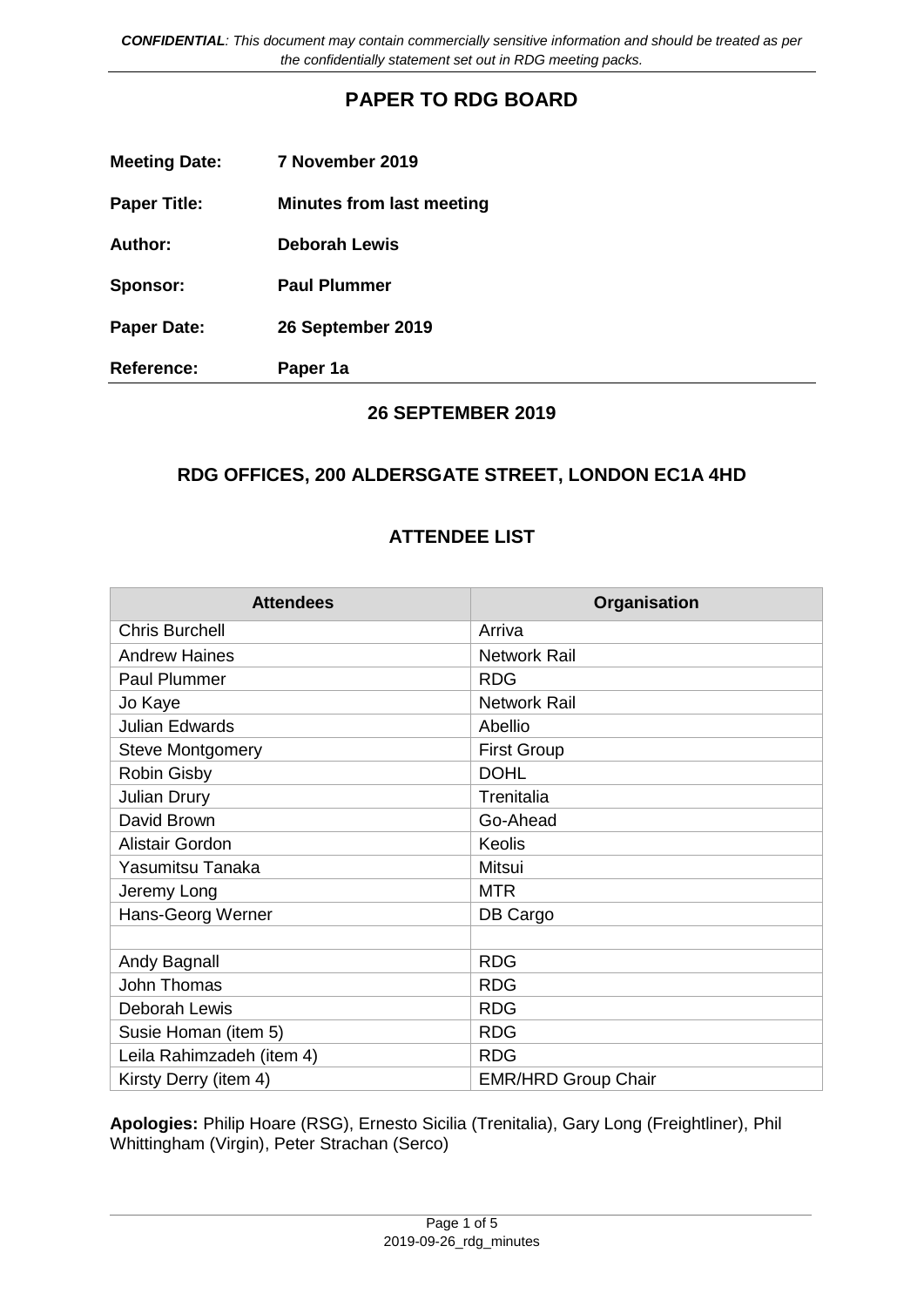*CONFIDENTIAL: This document may contain commercially sensitive information and should be treated as per the confidentially statement set out in RDG meeting packs.*

## **PAPER TO RDG BOARD**

| <b>Meeting Date:</b> | 7 November 2019                  |
|----------------------|----------------------------------|
| <b>Paper Title:</b>  | <b>Minutes from last meeting</b> |
| Author:              | <b>Deborah Lewis</b>             |
| Sponsor:             | <b>Paul Plummer</b>              |
| <b>Paper Date:</b>   | 26 September 2019                |
| <b>Reference:</b>    | Paper 1a                         |

### **26 SEPTEMBER 2019**

### **RDG OFFICES, 200 ALDERSGATE STREET, LONDON EC1A 4HD**

## **ATTENDEE LIST**

| <b>Attendees</b>          | Organisation               |
|---------------------------|----------------------------|
| <b>Chris Burchell</b>     | Arriva                     |
| <b>Andrew Haines</b>      | <b>Network Rail</b>        |
| Paul Plummer              | <b>RDG</b>                 |
| Jo Kaye                   | <b>Network Rail</b>        |
| <b>Julian Edwards</b>     | Abellio                    |
| <b>Steve Montgomery</b>   | <b>First Group</b>         |
| Robin Gisby               | <b>DOHL</b>                |
| <b>Julian Drury</b>       | Trenitalia                 |
| David Brown               | Go-Ahead                   |
| Alistair Gordon           | Keolis                     |
| Yasumitsu Tanaka          | Mitsui                     |
| Jeremy Long               | <b>MTR</b>                 |
| Hans-Georg Werner         | DB Cargo                   |
|                           |                            |
| Andy Bagnall              | <b>RDG</b>                 |
| John Thomas               | <b>RDG</b>                 |
| Deborah Lewis             | <b>RDG</b>                 |
| Susie Homan (item 5)      | <b>RDG</b>                 |
| Leila Rahimzadeh (item 4) | <b>RDG</b>                 |
| Kirsty Derry (item 4)     | <b>EMR/HRD Group Chair</b> |

**Apologies:** Philip Hoare (RSG), Ernesto Sicilia (Trenitalia), Gary Long (Freightliner), Phil Whittingham (Virgin), Peter Strachan (Serco)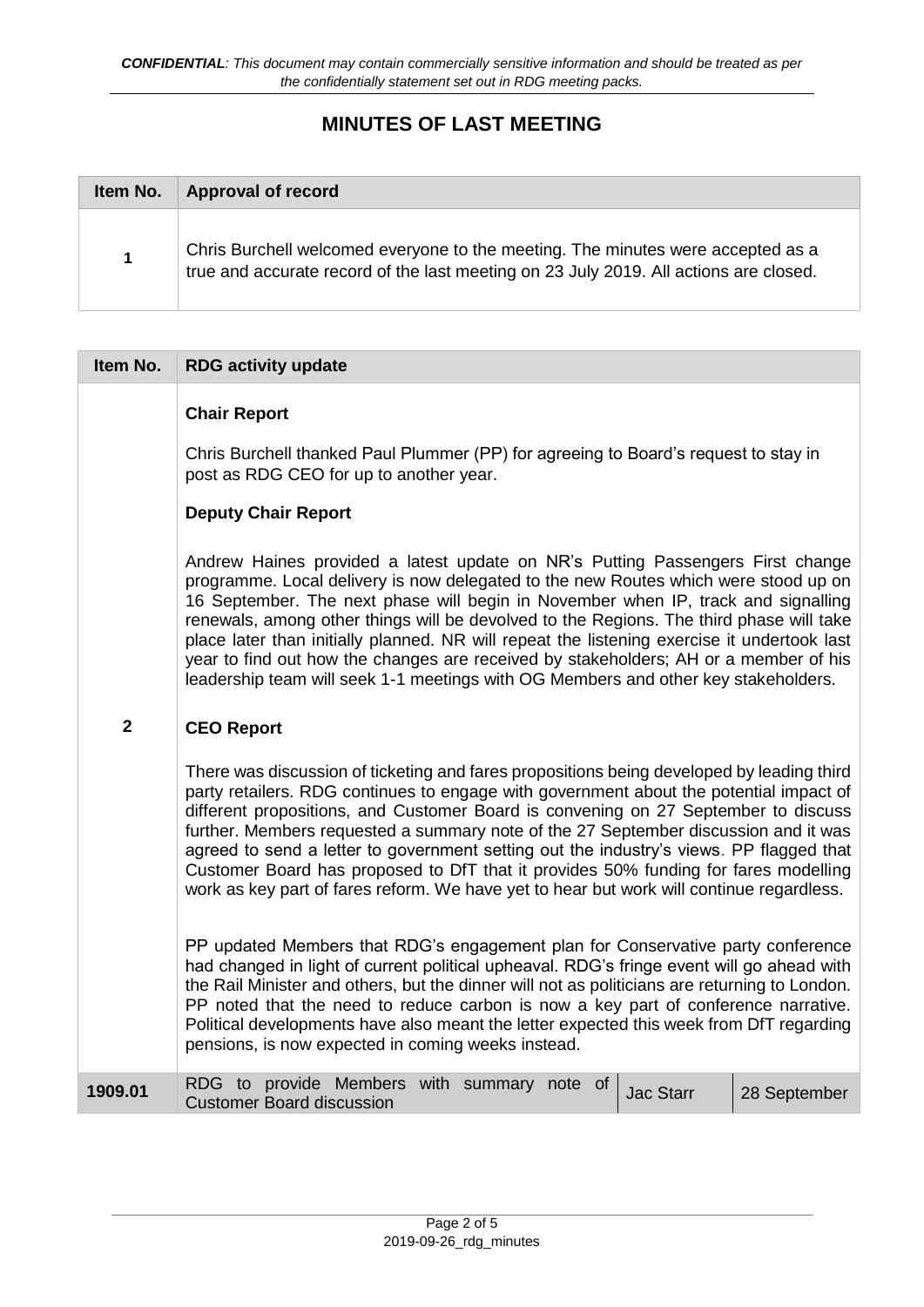# **MINUTES OF LAST MEETING**

| Item No.    | <b>Approval of record</b>                                                                                                                                                |
|-------------|--------------------------------------------------------------------------------------------------------------------------------------------------------------------------|
| $\mathbf 1$ | Chris Burchell welcomed everyone to the meeting. The minutes were accepted as a<br>true and accurate record of the last meeting on 23 July 2019. All actions are closed. |

| Item No.       | <b>RDG activity update</b>                                                                                                                                                                                                                                                                                                                                                                                                                                                                                                                                                                                                                     |
|----------------|------------------------------------------------------------------------------------------------------------------------------------------------------------------------------------------------------------------------------------------------------------------------------------------------------------------------------------------------------------------------------------------------------------------------------------------------------------------------------------------------------------------------------------------------------------------------------------------------------------------------------------------------|
|                | <b>Chair Report</b>                                                                                                                                                                                                                                                                                                                                                                                                                                                                                                                                                                                                                            |
|                | Chris Burchell thanked Paul Plummer (PP) for agreeing to Board's request to stay in<br>post as RDG CEO for up to another year.                                                                                                                                                                                                                                                                                                                                                                                                                                                                                                                 |
|                | <b>Deputy Chair Report</b>                                                                                                                                                                                                                                                                                                                                                                                                                                                                                                                                                                                                                     |
|                | Andrew Haines provided a latest update on NR's Putting Passengers First change<br>programme. Local delivery is now delegated to the new Routes which were stood up on<br>16 September. The next phase will begin in November when IP, track and signalling<br>renewals, among other things will be devolved to the Regions. The third phase will take<br>place later than initially planned. NR will repeat the listening exercise it undertook last<br>year to find out how the changes are received by stakeholders; AH or a member of his<br>leadership team will seek 1-1 meetings with OG Members and other key stakeholders.             |
| $\overline{2}$ | <b>CEO Report</b>                                                                                                                                                                                                                                                                                                                                                                                                                                                                                                                                                                                                                              |
|                | There was discussion of ticketing and fares propositions being developed by leading third<br>party retailers. RDG continues to engage with government about the potential impact of<br>different propositions, and Customer Board is convening on 27 September to discuss<br>further. Members requested a summary note of the 27 September discussion and it was<br>agreed to send a letter to government setting out the industry's views. PP flagged that<br>Customer Board has proposed to DfT that it provides 50% funding for fares modelling<br>work as key part of fares reform. We have yet to hear but work will continue regardless. |
|                | PP updated Members that RDG's engagement plan for Conservative party conference<br>had changed in light of current political upheaval. RDG's fringe event will go ahead with<br>the Rail Minister and others, but the dinner will not as politicians are returning to London.<br>PP noted that the need to reduce carbon is now a key part of conference narrative.<br>Political developments have also meant the letter expected this week from DfT regarding<br>pensions, is now expected in coming weeks instead.                                                                                                                           |
| 1909.01        | RDG to provide Members with summary note of<br><b>Jac Starr</b><br>28 September<br><b>Customer Board discussion</b>                                                                                                                                                                                                                                                                                                                                                                                                                                                                                                                            |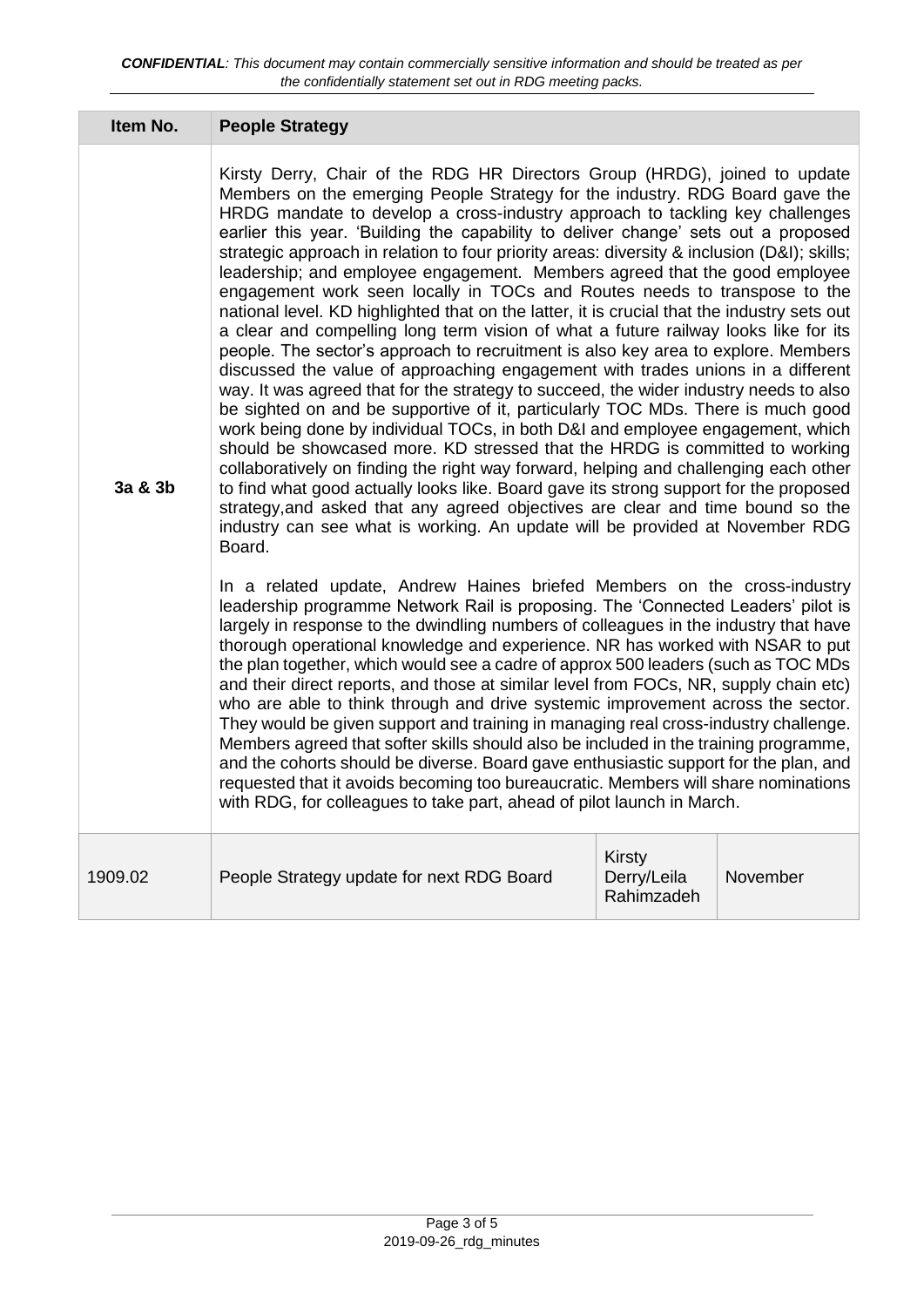| Item No. | <b>People Strategy</b>                                                                                                                                                                                                                                                                                                                                                                                                                                                                                                                                                                                                                                                                                                                                                                                                                                                                                                                                                                                                                                                                                                                                                                                                                                                                                                                                                                                                                                                                                                                                                                                                                                                                                                                                                                                                                                                                                                                                                                                                                                                                                                                                                                                                                                                                                                                                                                                                                                                                                                                                                                                                                                                                                              |                                            |          |
|----------|---------------------------------------------------------------------------------------------------------------------------------------------------------------------------------------------------------------------------------------------------------------------------------------------------------------------------------------------------------------------------------------------------------------------------------------------------------------------------------------------------------------------------------------------------------------------------------------------------------------------------------------------------------------------------------------------------------------------------------------------------------------------------------------------------------------------------------------------------------------------------------------------------------------------------------------------------------------------------------------------------------------------------------------------------------------------------------------------------------------------------------------------------------------------------------------------------------------------------------------------------------------------------------------------------------------------------------------------------------------------------------------------------------------------------------------------------------------------------------------------------------------------------------------------------------------------------------------------------------------------------------------------------------------------------------------------------------------------------------------------------------------------------------------------------------------------------------------------------------------------------------------------------------------------------------------------------------------------------------------------------------------------------------------------------------------------------------------------------------------------------------------------------------------------------------------------------------------------------------------------------------------------------------------------------------------------------------------------------------------------------------------------------------------------------------------------------------------------------------------------------------------------------------------------------------------------------------------------------------------------------------------------------------------------------------------------------------------------|--------------------------------------------|----------|
| 3a & 3b  | Kirsty Derry, Chair of the RDG HR Directors Group (HRDG), joined to update<br>Members on the emerging People Strategy for the industry. RDG Board gave the<br>HRDG mandate to develop a cross-industry approach to tackling key challenges<br>earlier this year. 'Building the capability to deliver change' sets out a proposed<br>strategic approach in relation to four priority areas: diversity & inclusion (D&I); skills;<br>leadership; and employee engagement. Members agreed that the good employee<br>engagement work seen locally in TOCs and Routes needs to transpose to the<br>national level. KD highlighted that on the latter, it is crucial that the industry sets out<br>a clear and compelling long term vision of what a future railway looks like for its<br>people. The sector's approach to recruitment is also key area to explore. Members<br>discussed the value of approaching engagement with trades unions in a different<br>way. It was agreed that for the strategy to succeed, the wider industry needs to also<br>be sighted on and be supportive of it, particularly TOC MDs. There is much good<br>work being done by individual TOCs, in both D&I and employee engagement, which<br>should be showcased more. KD stressed that the HRDG is committed to working<br>collaboratively on finding the right way forward, helping and challenging each other<br>to find what good actually looks like. Board gave its strong support for the proposed<br>strategy, and asked that any agreed objectives are clear and time bound so the<br>industry can see what is working. An update will be provided at November RDG<br>Board.<br>In a related update, Andrew Haines briefed Members on the cross-industry<br>leadership programme Network Rail is proposing. The 'Connected Leaders' pilot is<br>largely in response to the dwindling numbers of colleagues in the industry that have<br>thorough operational knowledge and experience. NR has worked with NSAR to put<br>the plan together, which would see a cadre of approx 500 leaders (such as TOC MDs<br>and their direct reports, and those at similar level from FOCs, NR, supply chain etc)<br>who are able to think through and drive systemic improvement across the sector.<br>They would be given support and training in managing real cross-industry challenge.<br>Members agreed that softer skills should also be included in the training programme,<br>and the cohorts should be diverse. Board gave enthusiastic support for the plan, and<br>requested that it avoids becoming too bureaucratic. Members will share nominations<br>with RDG, for colleagues to take part, ahead of pilot launch in March. |                                            |          |
| 1909.02  | People Strategy update for next RDG Board                                                                                                                                                                                                                                                                                                                                                                                                                                                                                                                                                                                                                                                                                                                                                                                                                                                                                                                                                                                                                                                                                                                                                                                                                                                                                                                                                                                                                                                                                                                                                                                                                                                                                                                                                                                                                                                                                                                                                                                                                                                                                                                                                                                                                                                                                                                                                                                                                                                                                                                                                                                                                                                                           | <b>Kirsty</b><br>Derry/Leila<br>Rahimzadeh | November |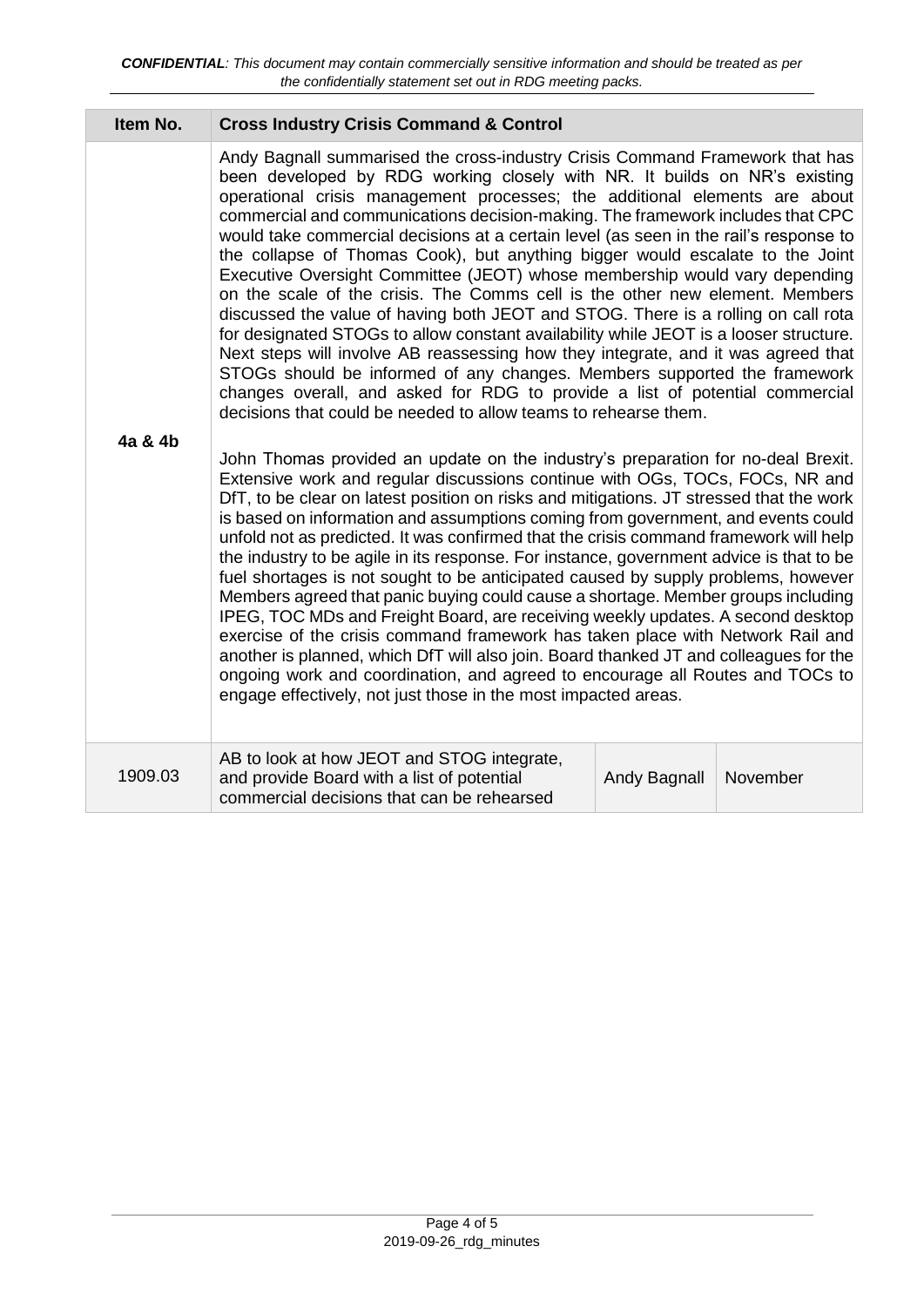### **Item No. Cross Industry Crisis Command & Control**

Andy Bagnall summarised the cross-industry Crisis Command Framework that has been developed by RDG working closely with NR. It builds on NR's existing operational crisis management processes; the additional elements are about commercial and communications decision-making. The framework includes that CPC would take commercial decisions at a certain level (as seen in the rail's response to the collapse of Thomas Cook), but anything bigger would escalate to the Joint Executive Oversight Committee (JEOT) whose membership would vary depending on the scale of the crisis. The Comms cell is the other new element. Members discussed the value of having both JEOT and STOG. There is a rolling on call rota for designated STOGs to allow constant availability while JEOT is a looser structure. Next steps will involve AB reassessing how they integrate, and it was agreed that STOGs should be informed of any changes. Members supported the framework changes overall, and asked for RDG to provide a list of potential commercial decisions that could be needed to allow teams to rehearse them.

#### **4a & 4b**

John Thomas provided an update on the industry's preparation for no-deal Brexit. Extensive work and regular discussions continue with OGs, TOCs, FOCs, NR and DfT, to be clear on latest position on risks and mitigations. JT stressed that the work is based on information and assumptions coming from government, and events could unfold not as predicted. It was confirmed that the crisis command framework will help the industry to be agile in its response. For instance, government advice is that to be fuel shortages is not sought to be anticipated caused by supply problems, however Members agreed that panic buying could cause a shortage. Member groups including IPEG, TOC MDs and Freight Board, are receiving weekly updates. A second desktop exercise of the crisis command framework has taken place with Network Rail and another is planned, which DfT will also join. Board thanked JT and colleagues for the ongoing work and coordination, and agreed to encourage all Routes and TOCs to engage effectively, not just those in the most impacted areas.

| 1909.03 | AB to look at how JEOT and STOG integrate,<br>and provide Board with a list of potential<br>commercial decisions that can be rehearsed | Andy Bagnall   November |  |
|---------|----------------------------------------------------------------------------------------------------------------------------------------|-------------------------|--|